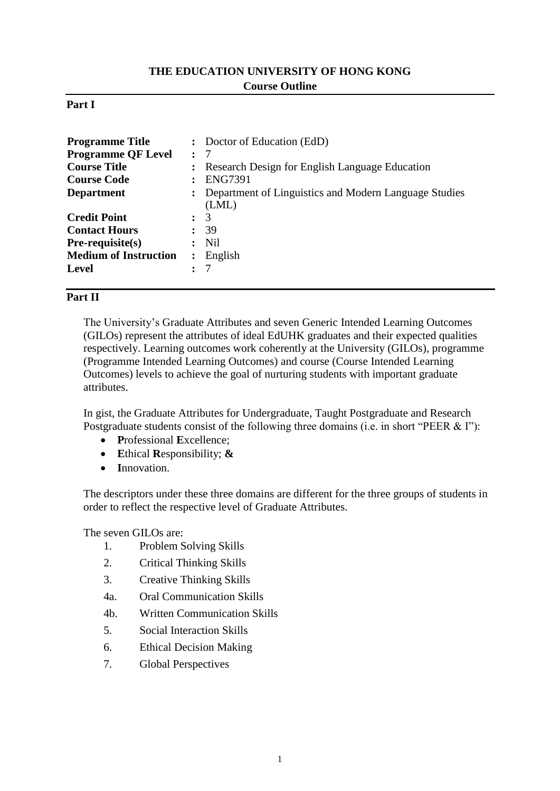## **THE EDUCATION UNIVERSITY OF HONG KONG Course Outline**

#### **Part I**

| <b>Programme Title</b>       |                      | : Doctor of Education (EdD)                                      |
|------------------------------|----------------------|------------------------------------------------------------------|
| <b>Programme QF Level</b>    | $\ddot{\phantom{a}}$ | -7                                                               |
| <b>Course Title</b>          |                      | : Research Design for English Language Education                 |
| <b>Course Code</b>           |                      | <b>ENG7391</b>                                                   |
| <b>Department</b>            |                      | : Department of Linguistics and Modern Language Studies<br>(LML) |
| <b>Credit Point</b>          | $\ddot{\phantom{0}}$ | 3                                                                |
| <b>Contact Hours</b>         |                      | 39                                                               |
| $Pre-requisite(s)$           |                      | <b>Nil</b>                                                       |
| <b>Medium of Instruction</b> |                      | English                                                          |
| <b>Level</b>                 |                      |                                                                  |

## **Part II**

The University's Graduate Attributes and seven Generic Intended Learning Outcomes (GILOs) represent the attributes of ideal EdUHK graduates and their expected qualities respectively. Learning outcomes work coherently at the University (GILOs), programme (Programme Intended Learning Outcomes) and course (Course Intended Learning Outcomes) levels to achieve the goal of nurturing students with important graduate attributes.

In gist, the Graduate Attributes for Undergraduate, Taught Postgraduate and Research Postgraduate students consist of the following three domains (i.e. in short "PEER & I"):

- **P**rofessional **E**xcellence;
- **E**thical **R**esponsibility; **&**
- **I**nnovation.

The descriptors under these three domains are different for the three groups of students in order to reflect the respective level of Graduate Attributes.

The seven GILOs are:

- 1. Problem Solving Skills
- 2. Critical Thinking Skills
- 3. Creative Thinking Skills
- 4a. Oral Communication Skills
- 4b. Written Communication Skills
- 5. Social Interaction Skills
- 6. Ethical Decision Making
- 7. Global Perspectives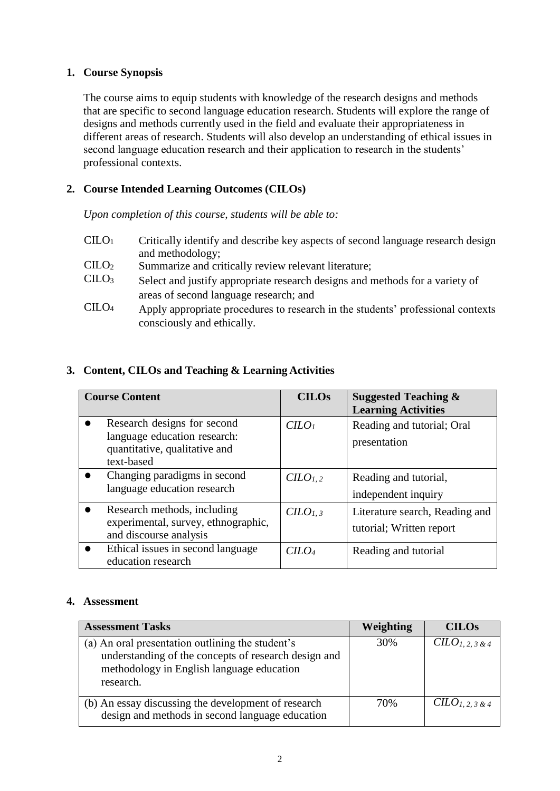## **1. Course Synopsis**

The course aims to equip students with knowledge of the research designs and methods that are specific to second language education research. Students will explore the range of designs and methods currently used in the field and evaluate their appropriateness in different areas of research. Students will also develop an understanding of ethical issues in second language education research and their application to research in the students' professional contexts.

## **2. Course Intended Learning Outcomes (CILOs)**

*Upon completion of this course, students will be able to:*

- CILO<sup>1</sup> Critically identify and describe key aspects of second language research design and methodology;
- CILO<sub>2</sub> Summarize and critically review relevant literature;<br>CILO<sub>3</sub> Select and justify appropriate research designs and r
- Select and justify appropriate research designs and methods for a variety of areas of second language research; and
- CILO<sup>4</sup> Apply appropriate procedures to research in the students' professional contexts consciously and ethically.

# **3. Content, CILOs and Teaching & Learning Activities**

| <b>Course Content</b>                                                                                      | <b>CILOs</b>                | <b>Suggested Teaching &amp;</b><br><b>Learning Activities</b> |
|------------------------------------------------------------------------------------------------------------|-----------------------------|---------------------------------------------------------------|
| Research designs for second<br>language education research:<br>quantitative, qualitative and<br>text-based | $C LO$                      | Reading and tutorial; Oral<br>presentation                    |
| Changing paradigms in second<br>language education research                                                | C <sub>1, 2</sub>           | Reading and tutorial,<br>independent inquiry                  |
| Research methods, including<br>experimental, survey, ethnographic,<br>and discourse analysis               | $CLO_{L,3}$                 | Literature search, Reading and<br>tutorial; Written report    |
| Ethical issues in second language<br>education research                                                    | C <sub>LO<sub>4</sub></sub> | Reading and tutorial                                          |

### **4. Assessment**

| <b>Assessment Tasks</b>                                                                                                                                            | Weighting | <b>CILOs</b>      |
|--------------------------------------------------------------------------------------------------------------------------------------------------------------------|-----------|-------------------|
| (a) An oral presentation outlining the student's<br>understanding of the concepts of research design and<br>methodology in English language education<br>research. | 30%       | $CLO_{1,2,3,8,4}$ |
| (b) An essay discussing the development of research<br>design and methods in second language education                                                             | 70%       | $CLO_{1,2,3,8,4}$ |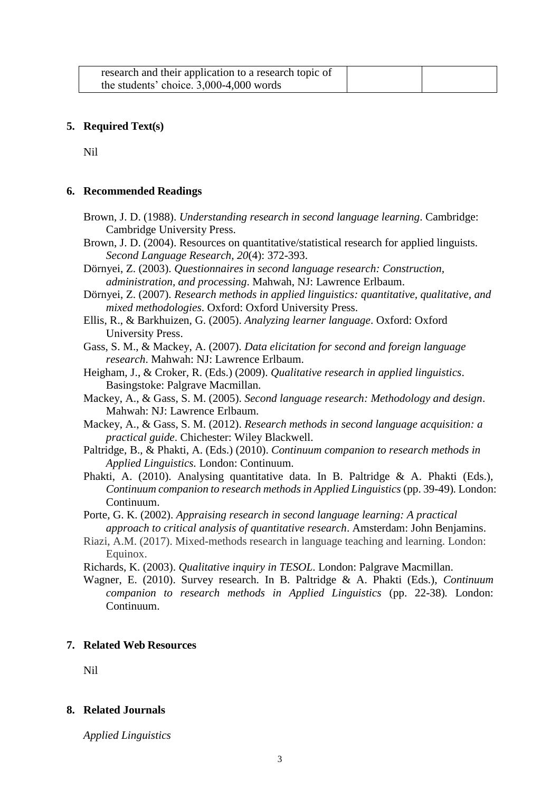| research and their application to a research topic of |  |
|-------------------------------------------------------|--|
| the students' choice. $3,000-4,000$ words             |  |

#### **5. Required Text(s)**

Nil

#### **6. Recommended Readings**

- Brown, J. D. (1988). *Understanding research in second language learning*. Cambridge: Cambridge University Press.
- Brown, J. D. (2004). Resources on quantitative/statistical research for applied linguists. *Second Language Research, 20*(4): 372-393.
- Dörnyei, Z. (2003). *Questionnaires in second language research: Construction, administration, and processing*. Mahwah, NJ: Lawrence Erlbaum.
- Dörnyei, Z. (2007). *Research methods in applied linguistics: quantitative, qualitative, and mixed methodologies*. Oxford: Oxford University Press.
- Ellis, R., & Barkhuizen, G. (2005). *Analyzing learner language*. Oxford: Oxford University Press.
- Gass, S. M., & Mackey, A. (2007). *Data elicitation for second and foreign language research*. Mahwah: NJ: Lawrence Erlbaum.
- Heigham, J., & Croker, R. (Eds.) (2009). *Qualitative research in applied linguistics*. Basingstoke: Palgrave Macmillan.
- Mackey, A., & Gass, S. M. (2005). *Second language research: Methodology and design*. Mahwah: NJ: Lawrence Erlbaum.
- Mackey, A., & Gass, S. M. (2012). *Research methods in second language acquisition: a practical guide*. Chichester: Wiley Blackwell.
- Paltridge, B., & Phakti, A. (Eds.) (2010). *Continuum companion to research methods in Applied Linguistics.* London: Continuum.
- Phakti, A. (2010). Analysing quantitative data. In B. Paltridge & A. Phakti (Eds.), *Continuum companion to research methods in Applied Linguistics (pp. 39-49). London:* Continuum.
- Porte, G. K. (2002). *Appraising research in second language learning: A practical approach to critical analysis of quantitative research*. Amsterdam: John Benjamins.
- Riazi, A.M. (2017). Mixed-methods research in language teaching and learning. London: Equinox.

Richards, K. (2003). *Qualitative inquiry in TESOL*. London: Palgrave Macmillan.

Wagner, E. (2010). Survey research. In B. Paltridge & A. Phakti (Eds.), *Continuum companion to research methods in Applied Linguistics* (pp. 22-38)*.* London: Continuum.

#### **7. Related Web Resources**

Nil

#### **8. Related Journals**

*Applied Linguistics*